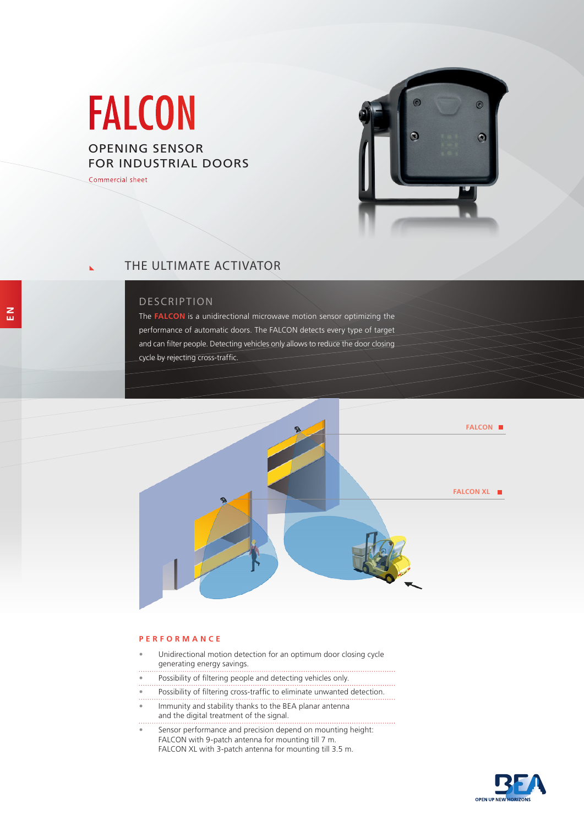# FALCON

# OPENING SENSOR FOR INDUSTRIAL DOORS

Commercial sheet



**E N**

# THE ULTIMATE ACTIVATOR

## DESCRIPTION

The **FALCON** is a unidirectional microwave motion sensor optimizing the performance of automatic doors. The FALCON detects every type of target and can filter people. Detecting vehicles only allows to reduce the door closing cycle by rejecting cross-traffic.



#### **PERFORMANCE**

- Unidirectional motion detection for an optimum door closing cycle generating energy savings.
- Possibility of filtering people and detecting vehicles only.
- 
- Possibility of filtering cross-traffic to eliminate unwanted detection.
- Immunity and stability thanks to the BEA planar antenna and the digital treatment of the signal.
- . . . . . . . . . . . . . . Sensor performance and precision depend on mounting height: FALCON with 9-patch antenna for mounting till 7 m. FALCON XL with 3-patch antenna for mounting till 3.5 m.